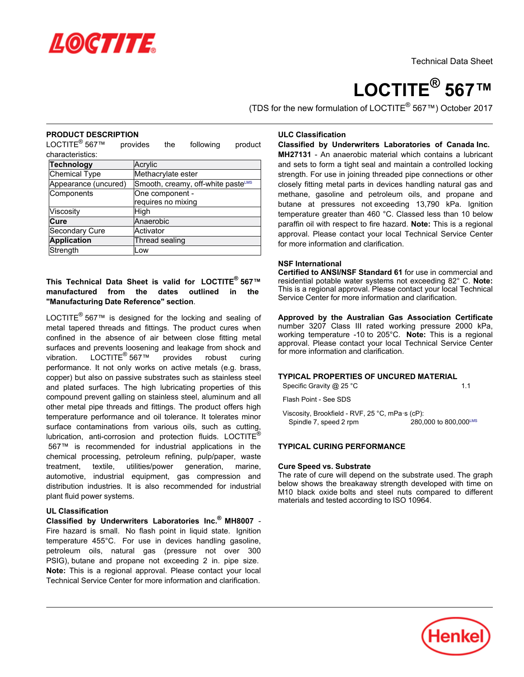

# **LOCTITE® 567™**

(TDS for the new formulation of LOCTITE® 567™) October 2017

#### **PRODUCT DESCRIPTION**

L NODOOL DEOG<br>LOCTITE® 567™ provides the following product characteristics:

| <b>Technology</b>    | Acrylic                            |  |  |
|----------------------|------------------------------------|--|--|
| <b>Chemical Type</b> | Methacrylate ester                 |  |  |
| Appearance (uncured) | Smooth, creamy, off-white pasteLMS |  |  |
| Components           | One component -                    |  |  |
|                      | requires no mixing                 |  |  |
| Viscosity            | High                               |  |  |
| Cure                 | Anaerobic                          |  |  |
| Secondary Cure       | Activator                          |  |  |
| <b>Application</b>   | Thread sealing                     |  |  |
| Strength             | Low                                |  |  |

#### **This Technical Data Sheet is valid for LOCTITE® 567™ manufactured from the dates outlined in the "Manufacturing Date Reference" section**.

LOCTITE<sup>®</sup> 567™ is designed for the locking and sealing of metal tapered threads and fittings. The product cures when confined in the absence of air between close fitting metal surfaces and prevents loosening and leakage from shock and vibration.and prevents foosem<br>™ LOCTITE® 567 provides robust curing performance. It not only works on active metals (e.g. brass, copper) but also on passive substrates such as stainless steel and plated surfaces. The high lubricating properties of this compound prevent galling on stainless steel, aluminum and all other metal pipe threads and fittings. The product offers high temperature performance and oil tolerance. It tolerates minor surface contaminations from various oils, such as cutting, lubrication, anti-corrosion and protection fluids. LOCTITE® 567™ is recommended for industrial applications in the chemical processing, petroleum refining, pulp/paper, waste treatment, textile, utilities/power generation, marine, automotive, industrial equipment, gas compression and distribution industries. It is also recommended for industrial plant fluid power systems.

#### **UL Classification**

**Classified by Underwriters Laboratories Inc.® MH8007** - Fire hazard is small. No flash point in liquid state. Ignition the number of childhood income point in a part childhood income.<br>temperature 455°C. For use in devices handling gasoline. petroleum oils, natural gas (pressure not over 300 PSIG), butane and propane not exceeding 2 in. pipe size. **Note:** This is a regional approval. Please contact your local Technical Service Center for more information and clarification.

# **ULC Classification**

**Classified by Underwriters Laboratories of Canada Inc. MH27131** - An anaerobic material which contains a lubricant

and sets to form a tight seal and maintain a controlled locking strength. For use in joining threaded pipe connections or other<br>strength. For use in joining threaded pipe connections or other closely fitting metal parts in devices handling natural gas and methane, gasoline and petroleum oils, and propane and butane at pressures not exceeding 13,790 kPa. Ignition temperature greater than 460 °C. Classed less than 10 below paraffin oil with respect to fire hazard. **Note:** This is a regional approval. Please contact your local Technical Service Center for more information and clarification.

#### **NSF International**

**Certified to ANSI/NSF Standard 61** for use in commercial and residential potable water systems not exceeding 82° C. **Note:** This is a regional approval. Please contact your local Technical This is a regional approval. Thease contact your local<br>Service Center for more information and clarification.

**Approved by the Australian Gas Association Certificate** number 3207 Class III rated working pressure 2000 kPa, working temperature -10 to 205°C. **Note:** This is a regional working remperature from 200 0. **Note:** This is a regional<br>approval. Please contact your local Technical Service Center for more information and clarification.

#### **TYPICAL PROPERTIES OF UNCURED MATERIAL** Specific Gravity @ 25 °C 1.1

Flash Point - See SDS

Viscosity, Brookfield - RVF, 25 °C, mPa·s (cP): Spindle 7, speed 2 rpm  $280.000$  to  $800.000$ <sup>LMS</sup>

#### **TYPICAL CURING PERFORMANCE**

#### **Cure Speed vs. Substrate**

The rate of cure will depend on the substrate used. The graph The rate of eare will depend on the substrate used. The graph<br>below shows the breakaway strength developed with time on M10 black oxide bolts and steel nuts compared to different materials and tested according to ISO 10964.

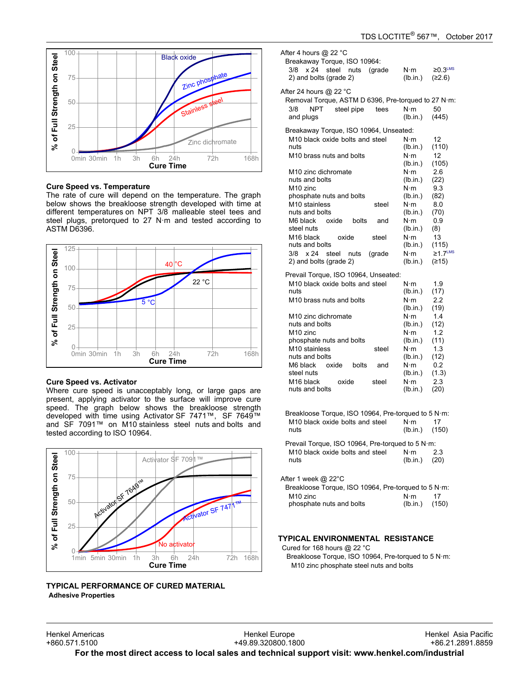

#### **Cure Speed vs. Temperature**

oure opeed vs. remperature<br>The rate of cure will depend on the temperature. The graph below shows the breakloose strength developed with time at different temperatures on NPT 3/8 malleable steel tees and steel plugs, pretorqued to 27 N·m and tested according to ASTM D6396.



#### **Cure Speed vs. Activator**

Where cure speed is unacceptably long, or large gaps are present, applying activator to the surface will improve cure speed. The graph below shows the breakloose strength developed with time using Activator SF 7471™, SF 7649™ acveloped with the dollar *retivalor* of 1471, so 17045<br>and SF 7091™ on M10 stainless steel nuts and bolts and and Simples in the star<br>tested according to ISO 10964.



#### **TYPICAL PERFORMANCE OF CURED MATERIAL Adhesive Properties**

| After 4 hours @ 22 °C<br>Breakaway Torque, ISO 10964:<br>3/8<br>x 24<br>steel nuts<br>(grade<br>2) and bolts (grade 2)                                        | $N \cdot m$<br>(lb.in.)                                                       | $\geq$ 0.3 <sup>LMS</sup><br>(≥2.6)       |
|---------------------------------------------------------------------------------------------------------------------------------------------------------------|-------------------------------------------------------------------------------|-------------------------------------------|
| After 24 hours @ 22 °C<br>Removal Torque, ASTM D 6396, Pre-torqued to 27 N·m:<br><b>NPT</b><br>steel pipe<br>3/8<br>tees<br>and plugs                         | $N \cdot m$<br>(lb.in.)                                                       | 50<br>(445)                               |
| Breakaway Torque, ISO 10964, Unseated:<br>M10 black oxide bolts and steel<br>nuts<br>M10 brass nuts and bolts                                                 | $N \cdot m$<br>(lb.in.)<br>$N \cdot m$<br>(lb.in.)                            | 12<br>(110)<br>12<br>(105)                |
| M <sub>10</sub> zinc dichromate<br>nuts and bolts<br>M <sub>10</sub> zinc<br>phosphate nuts and bolts<br>M <sub>10</sub> stainless<br>steel<br>nuts and bolts | $N \cdot m$<br>(lb.in.)<br>$N \cdot m$<br>(lb.in.)<br>$N \cdot m$<br>(lb.in.) | 2.6<br>(22)<br>9.3<br>(82)<br>8.0<br>(70) |
| M6 black<br>oxide<br>bolts<br>and<br>steel nuts<br>M <sub>16</sub> black<br>oxide<br>steel<br>nuts and bolts                                                  | $N \cdot m$<br>(lb.in.)<br>$N \cdot m$<br>(Ib.in.)                            | 0.9<br>(8)<br>13<br>(115)                 |
| 3/8<br>x 24<br>steel<br>(grade<br>nuts<br>2) and bolts (grade 2)<br>Prevail Torque, ISO 10964, Unseated:                                                      | $N \cdot m$<br>(lb.in.)                                                       | $≥1.7$ <sup>LMS</sup><br>(≥15)            |
| M10 black oxide bolts and steel<br>nuts<br>M10 brass nuts and bolts                                                                                           | $N \cdot m$<br>(lb.in.)<br>$N \cdot m$<br>(lb.in.)                            | 1.9<br>(17)<br>2.2<br>(19)                |
| M <sub>10</sub> zinc dichromate<br>nuts and bolts<br>M <sub>10</sub> zinc                                                                                     | $N \cdot m$<br>(lb.in.)<br>$N \cdot m$                                        | 1.4<br>(12)<br>1.2                        |
| phosphate nuts and bolts<br>M <sub>10</sub> stainless<br>steel<br>nuts and bolts<br>M6 black<br>oxide<br>bolts<br>and                                         | (lb.in.)<br>N∙m<br>(lb.in.)<br>$N \cdot m$                                    | (11)<br>1.3<br>(12)<br>0.2                |
| steel nuts<br>M <sub>16</sub> black<br>oxide<br>steel<br>nuts and bolts                                                                                       | (lb.in.)<br>$N \cdot m$<br>(lb.in.)                                           | (1.3)<br>2.3<br>(20)                      |
| Breakloose Torque, ISO 10964, Pre-torqued to 5 N·m:<br>M10 black oxide bolts and steel<br>nuts                                                                | N∙m<br>(lb.in.)                                                               | 17<br>(150)                               |
| Prevail Torque, ISO 10964, Pre-torqued to 5 N·m:<br>M10 black oxide bolts and steel<br>nuts                                                                   | $N \cdot m$<br>(lb.in.)                                                       | 2.3<br>(20)                               |
| After 1 week @ 22°C<br>Breakloose Torque, ISO 10964, Pre-torqued to 5 N·m:<br>M <sub>10</sub> zinc<br>phosphate nuts and bolts                                | $N \cdot m$<br>(lb.in.)                                                       | 17<br>(150)                               |

#### **TYPICAL ENVIRONMENTAL RESISTANCE**

Cured for 168 hours @ 22 °C Breakloose Torque, ISO 10964, Pre-torqued to 5 N·m: M10 zinc phosphate steel nuts and bolts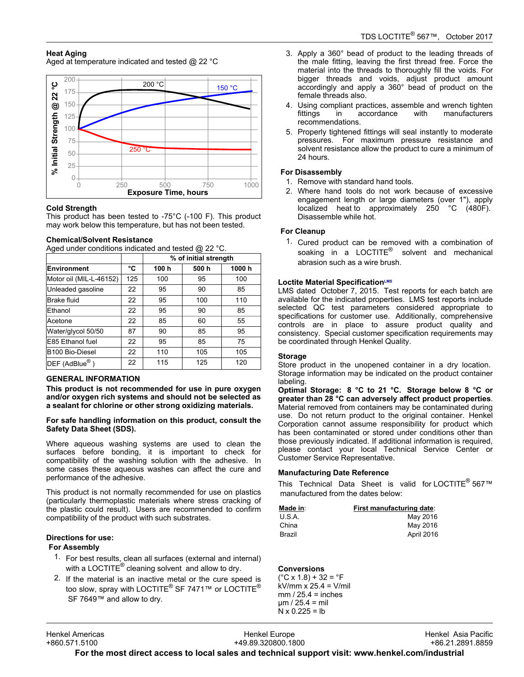# **Heat Aging**

Aged at temperature indicated and tested @ 22 °C



#### **Cold Strength**

This product has been tested to -75°C (-100 F). This product may product has been tested to  $75\%$  (100 F). This provided.

#### **Chemical/Solvent Resistance**

Aged under conditions indicated and tested @ 22 °C.

|                                     |     | % of initial strength |       |       |
|-------------------------------------|-----|-----------------------|-------|-------|
| <b>Environment</b>                  | °C  | 100 h                 | 500 h | 1000h |
| Motor oil (MIL-L-46152)             | 125 | 100                   | 95    | 100   |
| Unleaded gasoline                   | 22  | 95                    | 90    | 85    |
| <b>Brake fluid</b>                  | 22  | 95                    | 100   | 110   |
| Ethanol                             | 22  | 95                    | 90    | 85    |
| Acetone                             | 22  | 85                    | 60    | 55    |
| Water/glycol 50/50                  | 87  | 90                    | 85    | 95    |
| E85 Ethanol fuel                    | 22  | 95                    | 85    | 75    |
| B100 Bio-Diesel                     | 22  | 110                   | 105   | 105   |
| $\mathsf{DEF}$ (AdBlue $^\circledR$ | 22  | 115                   | 125   | 120   |

#### **GENERAL INFORMATION**

**This product is not recommended for use in pure oxygen and/or oxygen rich systems and should not be selected as a sealant for chlorine or other strong oxidizing materials.**

#### **For safe handling information on this product, consult the Safety Data Sheet (SDS).**

Where aqueous washing systems are used to clean the surfaces before bonding, it is important to check for compatibility of the washing solution with the adhesive. In some cases these aqueous washes can affect the cure and some cases these addebase.<br>performance of the adhesive.

This product is not normally recommended for use on plastics (particularly thermoplastic materials where stress cracking of the plastic could result). Users are recommended to confirm compatibility of the product with such substrates.

## **Directions for use:**

# **For Assembly**

- 1. For best results, clean all surfaces (external and internal) **The Secret County, solding an admissed (cxitemar and interest of the Secret Article**<br>With a LOCTITE® cleaning solvent and allow to dry.
- 2. If the material is an inactive metal or the cure speed is too slow, spray with LOCTITE<sup>®</sup> SF 7471™ or LOCTITE<sup>®</sup> SF 7649™ and allow to dry.
- 3. Apply a 360° bead of product to the leading threads of Apply a 500 bead of product to the leading threads of<br>the male fitting, leaving the first thread free. Force the material into the threads to thoroughly fill the voids. For bigger threads and voids, adjust product amount accordingly and apply a 360° bead of product on the female threads also.
- 4. Using compliant practices, assemble and wrench tighten fittings in accordance with manufacturers mango mi
- 5. Properly tightened fittings will seal instantly to moderate pressures. For maximum pressure resistance and solvent resistance allow the product to cure a minimum of 24 hours.

### **For Disassembly**

- 1. Remove with standard hand tools.
- 2. Where hand tools do not work because of excessive engagement length or large diameters (over 1"), apply engagement length of large diameters (over 1), apply<br>localized heat to approximately 250 °C (480F). Disassemble while hot.

## **For Cleanup**

1. Cured product can be removed with a combination of soaking in a LOCTITE<sup>®</sup> solvent and mechanical abrasion such as a wire brush.

#### **Loctite Material SpecificationLMS**

LMS dated October-7, 2015. Test reports for each batch are available for the indicated properties. LMS test reports include selected QC test parameters considered appropriate to specifications for customer use. Additionally, comprehensive controls are in place to assure product quality and consistency. Special customer specification requirements may be coordinated through Henkel Quality.

## **Storage**

Store product in the unopened container in a dry location. Storage information may be indicated on the product container labeling.

**Optimal Storage: 8 °C to 21 °C. Storage below 8 °C or greater than 28 °C can adversely affect product properties**. Material removed from containers may be contaminated during use. Do not return product to the original container. Henkel ase. Be not retain product to the original container. Hence<br>Corporation cannot assume responsibility for product which has been contaminated or stored under conditions other than those previously indicated. If additional information is required, mose previously indicated: if duditional information is required,<br>please contact your local Technical Service Center or Customer Service Representative.

## **Manufacturing Date Reference**

This Technical Data Sheet is valid for LOCTITE® 567™manufactured from the dates below:

| Made in: | First manufacturing date: |
|----------|---------------------------|
| U.S.A.   | May 2016                  |
| China    | May 2016                  |
| Brazil   | April 2016                |

#### **Conversions**

(°C x 1.8) + 32 = °F kV/mm x 25.4 = V/mil mm / 25.4 = inches µm / 25.4 = mil N x 0.225 = lb